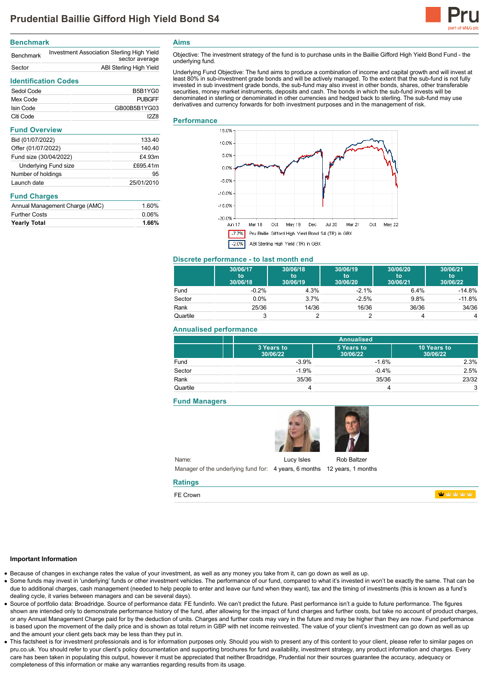

## **Benchmark**

| <b>Benchmark</b> | Investment Association Sterling High Yield<br>sector average |
|------------------|--------------------------------------------------------------|
| Sector           | ABI Sterling High Yield                                      |

# **Identification Codes**

| Sedol Code | B5B1YG0       |
|------------|---------------|
| Mex Code   | <b>PUBGFF</b> |
| Isin Code  | GB00B5B1YG03  |
| Citi Code  | 1278          |

## **Fund Overview**

| Bid (01/07/2022)            | 133.40     |
|-----------------------------|------------|
| Offer (01/07/2022)          | 140.40     |
| Fund size (30/04/2022)      | £4.93m     |
| <b>Underlying Fund size</b> | £695.41m   |
| Number of holdings          | 95         |
| Launch date                 | 25/01/2010 |

## **Fund Charges**

| Annual Management Charge (AMC) | 1.60% |
|--------------------------------|-------|
| <b>Further Costs</b>           | 0.06% |
| <b>Yearly Total</b>            | 1.66% |

**Aims**

Objective: The investment strategy of the fund is to purchase units in the Baillie Gifford High Yield Bond Fund - the underlying fund.

Underlying Fund Objective: The fund aims to produce a combination of income and capital growth and will invest at least 80% in sub-investment grade bonds and will be actively managed. To the extent that the sub-fund is not fully invested in sub investment grade bonds, the sub-fund may also invest in other bonds, shares, other transferable securities, money market instruments, deposits and cash. The bonds in which the sub-fund invests will be denominated in sterling or denominated in other currencies and hedged back to sterling. The sub-fund may use derivatives and currency forwards for both investment purposes and in the management of risk.

## **Performance**



## **Discrete performance - to last month end**

|          | 30/06/17<br>to<br>30/06/18 | 30/06/18<br>to<br>30/06/19 | 30/06/19<br>to<br>30/06/20 | 30/06/20<br>to<br>30/06/21 | 30/06/21<br>to<br>30/06/22 |
|----------|----------------------------|----------------------------|----------------------------|----------------------------|----------------------------|
| Fund     | $-0.2%$                    | 4.3%                       | $-2.1%$                    | 6.4%                       | $-14.8%$                   |
| Sector   | 0.0%                       | 3.7%                       | $-2.5%$                    | 9.8%                       | $-11.8%$                   |
| Rank     | 25/36                      | 14/36                      | 16/36                      | 36/36                      | 34/36                      |
| Quartile | 3                          |                            |                            |                            | 4                          |

## **Annualised performance**

|          | <b>Annualised</b>      |                        |                         |
|----------|------------------------|------------------------|-------------------------|
|          | 3 Years to<br>30/06/22 | 5 Years to<br>30/06/22 | 10 Years to<br>30/06/22 |
| Fund     | $-3.9%$                | $-1.6%$                | 2.3%                    |
| Sector   | $-1.9%$                | $-0.4%$                | 2.5%                    |
| Rank     | 35/36                  | 35/36                  | 23/32                   |
| Quartile |                        |                        | 3                       |

# **Fund Managers**



Name: Manager of the underlying fund for: 4 years, 6 months 12 years, 1 months

#### **Ratings**

FE Crown

**Index rational relations** 

#### **Important Information**

Because of changes in exchange rates the value of your investment, as well as any money you take from it, can go down as well as up.

- Some funds may invest in 'underlying' funds or other investment vehicles. The performance of our fund, compared to what it's invested in won't be exactly the same. That can be due to additional charges, cash management (needed to help people to enter and leave our fund when they want), tax and the timing of investments (this is known as a fund's dealing cycle, it varies between managers and can be several days).
- Source of portfolio data: Broadridge. Source of performance data: FE fundinfo. We can't predict the future. Past performance isn't a guide to future performance. The figures shown are intended only to demonstrate performance history of the fund, after allowing for the impact of fund charges and further costs, but take no account of product charges, or any Annual Management Charge paid for by the deduction of units. Charges and further costs may vary in the future and may be higher than they are now. Fund performance is based upon the movement of the daily price and is shown as total return in GBP with net income reinvested. The value of your client's investment can go down as well as up and the amount your client gets back may be less than they put in.
- This factsheet is for investment professionals and is for information purposes only. Should you wish to present any of this content to your client, please refer to similar pages on pru.co.uk. You should refer to your client's policy documentation and supporting brochures for fund availability, investment strategy, any product information and charges. Every care has been taken in populating this output, however it must be appreciated that neither Broadridge. Prudential nor their sources guarantee the accuracy, adequacy or completeness of this information or make any warranties regarding results from its usage.